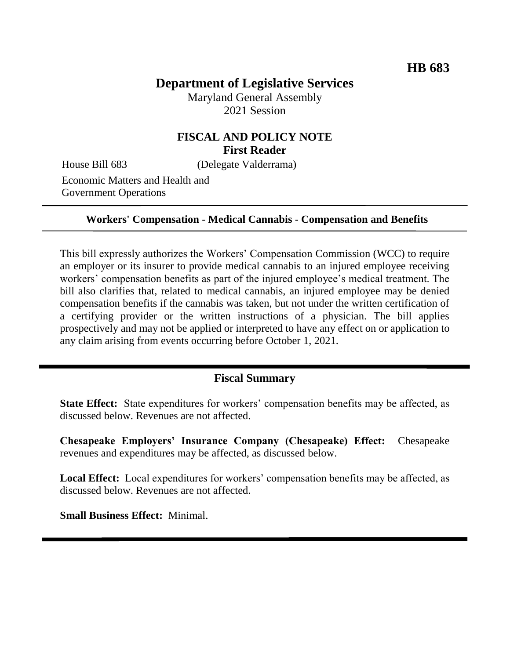# **Department of Legislative Services**

Maryland General Assembly 2021 Session

### **FISCAL AND POLICY NOTE First Reader**

House Bill 683 (Delegate Valderrama)

Economic Matters and Health and Government Operations

#### **Workers' Compensation - Medical Cannabis - Compensation and Benefits**

This bill expressly authorizes the Workers' Compensation Commission (WCC) to require an employer or its insurer to provide medical cannabis to an injured employee receiving workers' compensation benefits as part of the injured employee's medical treatment. The bill also clarifies that, related to medical cannabis, an injured employee may be denied compensation benefits if the cannabis was taken, but not under the written certification of a certifying provider or the written instructions of a physician. The bill applies prospectively and may not be applied or interpreted to have any effect on or application to any claim arising from events occurring before October 1, 2021.

#### **Fiscal Summary**

**State Effect:** State expenditures for workers' compensation benefits may be affected, as discussed below. Revenues are not affected.

**Chesapeake Employers' Insurance Company (Chesapeake) Effect:** Chesapeake revenues and expenditures may be affected, as discussed below.

**Local Effect:** Local expenditures for workers' compensation benefits may be affected, as discussed below. Revenues are not affected.

**Small Business Effect:** Minimal.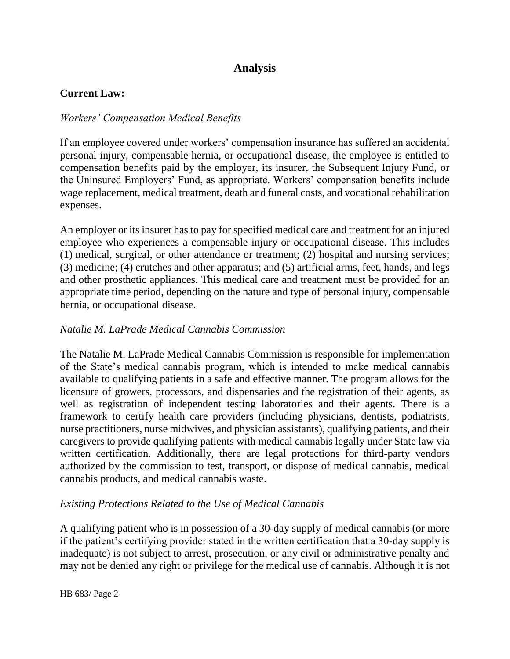# **Analysis**

#### **Current Law:**

### *Workers' Compensation Medical Benefits*

If an employee covered under workers' compensation insurance has suffered an accidental personal injury, compensable hernia, or occupational disease, the employee is entitled to compensation benefits paid by the employer, its insurer, the Subsequent Injury Fund, or the Uninsured Employers' Fund, as appropriate. Workers' compensation benefits include wage replacement, medical treatment, death and funeral costs, and vocational rehabilitation expenses.

An employer or its insurer has to pay for specified medical care and treatment for an injured employee who experiences a compensable injury or occupational disease. This includes (1) medical, surgical, or other attendance or treatment; (2) hospital and nursing services; (3) medicine; (4) crutches and other apparatus; and (5) artificial arms, feet, hands, and legs and other prosthetic appliances. This medical care and treatment must be provided for an appropriate time period, depending on the nature and type of personal injury, compensable hernia, or occupational disease.

#### *Natalie M. LaPrade Medical Cannabis Commission*

The Natalie M. LaPrade Medical Cannabis Commission is responsible for implementation of the State's medical cannabis program, which is intended to make medical cannabis available to qualifying patients in a safe and effective manner. The program allows for the licensure of growers, processors, and dispensaries and the registration of their agents, as well as registration of independent testing laboratories and their agents. There is a framework to certify health care providers (including physicians, dentists, podiatrists, nurse practitioners, nurse midwives, and physician assistants), qualifying patients, and their caregivers to provide qualifying patients with medical cannabis legally under State law via written certification. Additionally, there are legal protections for third-party vendors authorized by the commission to test, transport, or dispose of medical cannabis, medical cannabis products, and medical cannabis waste.

#### *Existing Protections Related to the Use of Medical Cannabis*

A qualifying patient who is in possession of a 30-day supply of medical cannabis (or more if the patient's certifying provider stated in the written certification that a 30-day supply is inadequate) is not subject to arrest, prosecution, or any civil or administrative penalty and may not be denied any right or privilege for the medical use of cannabis. Although it is not